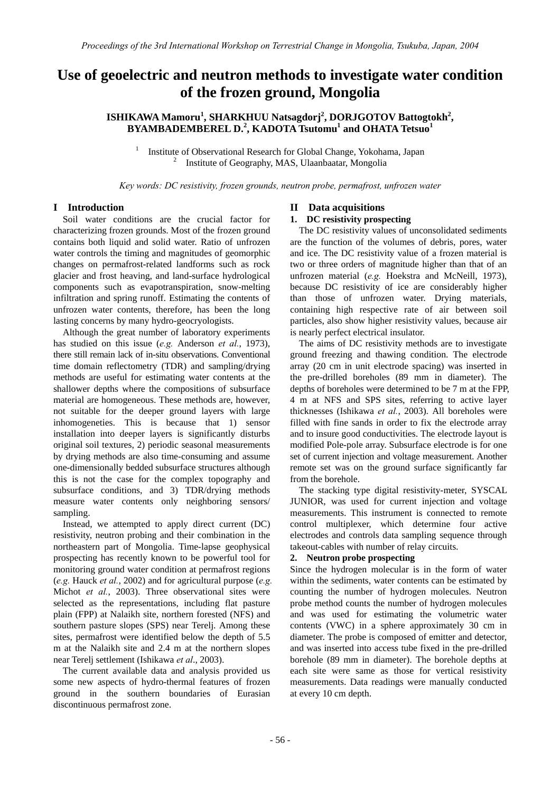# **Use of geoelectric and neutron methods to investigate water condition of the frozen ground, Mongolia**

## **ISHIKAWA Mamoru<sup>1</sup> , SHARKHUU Natsagdorj<sup>2</sup> , DORJGOTOV Battogtokh<sup>2</sup> , BYAMBADEMBEREL D.<sup>2</sup> , KADOTA Tsutomu<sup>1</sup> and OHATA Tetsuo<sup>1</sup>**

1 Institute of Observational Research for Global Change, Yokohama, Japan 2  $\mu$ <sup>2</sup> Institute of Geography, MAS, Ulaanbaatar, Mongolia

*Key words: DC resistivity, frozen grounds, neutron probe, permafrost, unfrozen water* 

#### **I Introduction**

Soil water conditions are the crucial factor for characterizing frozen grounds. Most of the frozen ground contains both liquid and solid water. Ratio of unfrozen water controls the timing and magnitudes of geomorphic changes on permafrost-related landforms such as rock glacier and frost heaving, and land-surface hydrological components such as evapotranspiration, snow-melting infiltration and spring runoff. Estimating the contents of unfrozen water contents, therefore, has been the long lasting concerns by many hydro-geocryologists.

Although the great number of laboratory experiments has studied on this issue (*e.g.* Anderson *et al.*, 1973), there still remain lack of in-situ observations. Conventional time domain reflectometry (TDR) and sampling/drying methods are useful for estimating water contents at the shallower depths where the compositions of subsurface material are homogeneous. These methods are, however, not suitable for the deeper ground layers with large inhomogeneties. This is because that 1) sensor installation into deeper layers is significantly disturbs original soil textures, 2) periodic seasonal measurements by drying methods are also time-consuming and assume one-dimensionally bedded subsurface structures although this is not the case for the complex topography and subsurface conditions, and 3) TDR/drying methods measure water contents only neighboring sensors/ sampling.

Instead, we attempted to apply direct current (DC) resistivity, neutron probing and their combination in the northeastern part of Mongolia. Time-lapse geophysical prospecting has recently known to be powerful tool for monitoring ground water condition at permafrost regions (*e.g.* Hauck *et al.*, 2002) and for agricultural purpose (*e.g.* Michot *et al.*, 2003). Three observational sites were selected as the representations, including flat pasture plain (FPP) at Nalaikh site, northern forested (NFS) and southern pasture slopes (SPS) near Terelj. Among these sites, permafrost were identified below the depth of 5.5 m at the Nalaikh site and 2.4 m at the northern slopes near Terelj settlement (Ishikawa *et al*., 2003).

The current available data and analysis provided us some new aspects of hydro-thermal features of frozen ground in the southern boundaries of Eurasian discontinuous permafrost zone.

#### **II Data acquisitions**

#### **1. DC resistivity prospecting**

The DC resistivity values of unconsolidated sediments are the function of the volumes of debris, pores, water and ice. The DC resistivity value of a frozen material is two or three orders of magnitude higher than that of an unfrozen material (*e.g.* Hoekstra and McNeill, 1973), because DC resistivity of ice are considerably higher than those of unfrozen water. Drying materials, containing high respective rate of air between soil particles, also show higher resistivity values, because air is nearly perfect electrical insulator.

The aims of DC resistivity methods are to investigate ground freezing and thawing condition. The electrode array (20 cm in unit electrode spacing) was inserted in the pre-drilled boreholes (89 mm in diameter). The depths of boreholes were determined to be 7 m at the FPP, 4 m at NFS and SPS sites, referring to active layer thicknesses (Ishikawa *et al.*, 2003). All boreholes were filled with fine sands in order to fix the electrode array and to insure good conductivities. The electrode layout is modified Pole-pole array. Subsurface electrode is for one set of current injection and voltage measurement. Another remote set was on the ground surface significantly far from the borehole.

The stacking type digital resistivity-meter, SYSCAL JUNIOR, was used for current injection and voltage measurements. This instrument is connected to remote control multiplexer, which determine four active electrodes and controls data sampling sequence through takeout-cables with number of relay circuits.

#### **2. Neutron probe prospecting**

Since the hydrogen molecular is in the form of water within the sediments, water contents can be estimated by counting the number of hydrogen molecules. Neutron probe method counts the number of hydrogen molecules and was used for estimating the volumetric water contents (VWC) in a sphere approximately 30 cm in diameter. The probe is composed of emitter and detector, and was inserted into access tube fixed in the pre-drilled borehole (89 mm in diameter). The borehole depths at each site were same as those for vertical resistivity measurements. Data readings were manually conducted at every 10 cm depth.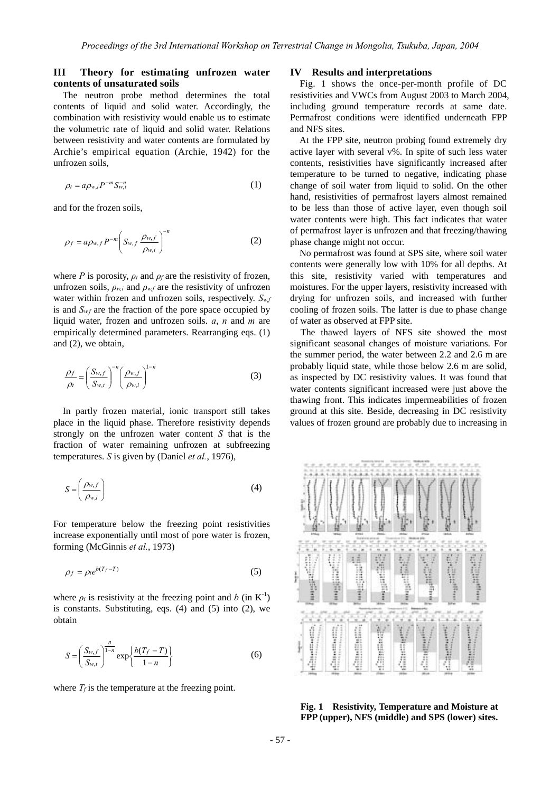### **III Theory for estimating unfrozen water contents of unsaturated soils**

 The neutron probe method determines the total contents of liquid and solid water. Accordingly, the combination with resistivity would enable us to estimate the volumetric rate of liquid and solid water. Relations between resistivity and water contents are formulated by Archie's empirical equation (Archie, 1942) for the unfrozen soils,

$$
\rho_t = a \rho_{w,i} P^{-m} S_{w,t}^{-n} \tag{1}
$$

and for the frozen soils,

$$
\rho_f = a \rho_{w,f} P^{-m} \left( S_{w,f} \frac{\rho_{w,f}}{\rho_{w,i}} \right)^{-n}
$$
 (2)

where *P* is porosity,  $\rho_t$  and  $\rho_f$  are the resistivity of frozen, unfrozen soils,  $\rho_{w,i}$  and  $\rho_{w,f}$  are the resistivity of unfrozen water within frozen and unfrozen soils, respectively.  $S_{w}$ is and  $S_{w,f}$  are the fraction of the pore space occupied by liquid water, frozen and unfrozen soils. *a*, *n* and *m* are empirically determined parameters. Rearranging eqs. (1) and (2), we obtain,

$$
\frac{\rho_f}{\rho_t} = \left(\frac{S_{w,f}}{S_{w,t}}\right)^{-n} \left(\frac{\rho_{w,f}}{\rho_{w,i}}\right)^{1-n}
$$
(3)

In partly frozen material, ionic transport still takes place in the liquid phase. Therefore resistivity depends strongly on the unfrozen water content *S* that is the fraction of water remaining unfrozen at subfreezing temperatures. *S* is given by (Daniel *et al.*, 1976),

$$
S = \left(\frac{\rho_{w,f}}{\rho_{w,i}}\right) \tag{4}
$$

For temperature below the freezing point resistivities increase exponentially until most of pore water is frozen, forming (McGinnis *et al.*, 1973)

$$
\rho_f = \rho_i e^{b(T_f - T)} \tag{5}
$$

where  $\rho_i$  is resistivity at the freezing point and *b* (in K<sup>-1</sup>) is constants. Substituting, eqs. (4) and (5) into (2), we obtain

$$
S = \left(\frac{S_{w,f}}{S_{w,t}}\right)^{\frac{n}{1-n}} \exp\left\{\frac{b(T_f - T)}{1-n}\right\}
$$
 (6)

where  $T_f$  is the temperature at the freezing point.

#### **IV Results and interpretations**

Fig. 1 shows the once-per-month profile of DC resistivities and VWCs from August 2003 to March 2004, including ground temperature records at same date. Permafrost conditions were identified underneath FPP and NFS sites.

At the FPP site, neutron probing found extremely dry active layer with several v%. In spite of such less water contents, resistivities have significantly increased after temperature to be turned to negative, indicating phase change of soil water from liquid to solid. On the other hand, resistivities of permafrost layers almost remained to be less than those of active layer, even though soil water contents were high. This fact indicates that water of permafrost layer is unfrozen and that freezing/thawing phase change might not occur.

No permafrost was found at SPS site, where soil water contents were generally low with 10% for all depths. At this site, resistivity varied with temperatures and moistures. For the upper layers, resistivity increased with drying for unfrozen soils, and increased with further cooling of frozen soils. The latter is due to phase change of water as observed at FPP site.

The thawed layers of NFS site showed the most significant seasonal changes of moisture variations. For the summer period, the water between 2.2 and 2.6 m are probably liquid state, while those below 2.6 m are solid, as inspected by DC resistivity values. It was found that water contents significant increased were just above the thawing front. This indicates impermeabilities of frozen ground at this site. Beside, decreasing in DC resistivity values of frozen ground are probably due to increasing in



**Fig. 1 Resistivity, Temperature and Moisture at FPP (upper), NFS (middle) and SPS (lower) sites.**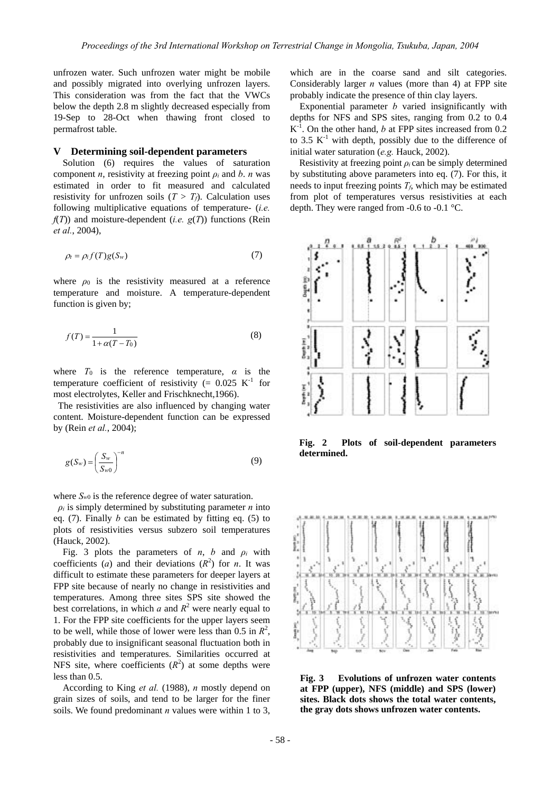unfrozen water. Such unfrozen water might be mobile and possibly migrated into overlying unfrozen layers. This consideration was from the fact that the VWCs below the depth 2.8 m slightly decreased especially from 19-Sep to 28-Oct when thawing front closed to permafrost table.

#### **V Determining soil-dependent parameters**

Solution (6) requires the values of saturation component *n*, resistivity at freezing point *ρi* and *b*. *n* was estimated in order to fit measured and calculated resistivity for unfrozen soils  $(T > T_f)$ . Calculation uses following multiplicative equations of temperature- (*i.e.*  $f(T)$ ) and moisture-dependent (*i.e.*  $g(T)$ ) functions (Rein *et al.*, 2004),

$$
\rho_t = \rho_i f(T) g(S_w) \tag{7}
$$

where  $\rho_0$  is the resistivity measured at a reference temperature and moisture. A temperature-dependent function is given by;

$$
f(T) = \frac{1}{1 + \alpha(T - T_0)}\tag{8}
$$

where  $T_0$  is the reference temperature,  $\alpha$  is the temperature coefficient of resistivity (=  $0.025$  K<sup>-1</sup> for most electrolytes, Keller and Frischknecht,1966).

 The resistivities are also influenced by changing water content. Moisture-dependent function can be expressed by (Rein *et al.*, 2004);

$$
g(S_w) = \left(\frac{S_w}{S_{w0}}\right)^{-n} \tag{9}
$$

where  $S_{w0}$  is the reference degree of water saturation.

 $\rho_i$  is simply determined by substituting parameter *n* into eq. (7). Finally *b* can be estimated by fitting eq. (5) to plots of resistivities versus subzero soil temperatures (Hauck, 2002).

Fig. 3 plots the parameters of *n*, *b* and  $\rho_i$  with coefficients (*a*) and their deviations  $(R^2)$  for *n*. It was difficult to estimate these parameters for deeper layers at FPP site because of nearly no change in resistivities and temperatures. Among three sites SPS site showed the best correlations, in which  $a$  and  $R^2$  were nearly equal to 1. For the FPP site coefficients for the upper layers seem to be well, while those of lower were less than  $0.5$  in  $R^2$ , probably due to insignificant seasonal fluctuation both in resistivities and temperatures. Similarities occurred at NFS site, where coefficients  $(R^2)$  at some depths were less than 0.5.

According to King *et al.* (1988), *n* mostly depend on grain sizes of soils, and tend to be larger for the finer soils. We found predominant *n* values were within 1 to 3,

which are in the coarse sand and silt categories. Considerably larger *n* values (more than 4) at FPP site probably indicate the presence of thin clay layers.

Exponential parameter *b* varied insignificantly with depths for NFS and SPS sites, ranging from 0.2 to 0.4  $K^{-1}$ . On the other hand, *b* at FPP sites increased from 0.2 to 3.5  $K^{-1}$  with depth, possibly due to the difference of initial water saturation (*e.g.* Hauck, 2002).

Resistivity at freezing point  $\rho_i$  can be simply determined by substituting above parameters into eq. (7). For this, it needs to input freezing points *Tf*, which may be estimated from plot of temperatures versus resistivities at each depth. They were ranged from -0.6 to -0.1 °C.



**Fig. 2 Plots of soil-dependent parameters determined.** 



**Fig. 3 Evolutions of unfrozen water contents at FPP (upper), NFS (middle) and SPS (lower) sites. Black dots shows the total water contents, the gray dots shows unfrozen water contents.**